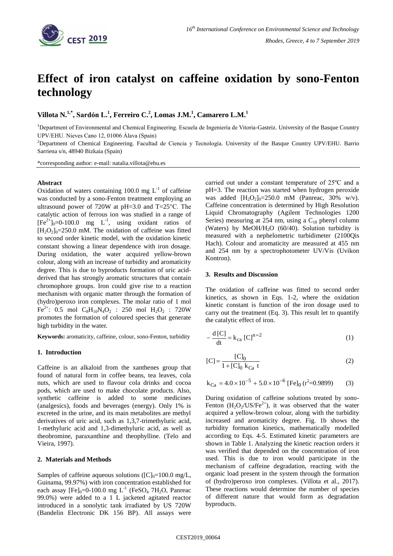

# **Effect of iron catalyst on caffeine oxidation by sono-Fenton technology**

**Villota N.1,\* , Sardón L.<sup>1</sup> , Ferreiro C.<sup>2</sup> , Lomas J.M.<sup>1</sup> , Camarero L.M.<sup>1</sup>**

<sup>1</sup>Department of Environmental and Chemical Engineering. Escuela de Ingeniería de Vitoria-Gasteiz. University of the Basque Country UPV/EHU. Nieves Cano 12, 01006 Álava (Spain)

<sup>2</sup>Department of Chemical Engineering. Facultad de Ciencia y Tecnología. University of the Basque Country UPV/EHU. Barrio Sarriena s/n, 48940 Bizkaia (Spain)

\*corresponding author: e-mail: natalia.villota@ehu.es

## **Abstract**

Oxidation of waters containing 100.0 mg  $L^{-1}$  of caffeine was conducted by a sono-Fenton treatment employing an ultrasound power of 720W at pH=3.0 and T=25°C. The catalytic action of ferrous ion was studied in a range of  $[Fe^{2+}]_0 = 0$ -100.0 mg L<sup>-1</sup>, using oxidant ratios of  $[H_2O_2]_0 = 250.0$  mM. The oxidation of caffeine was fitted to second order kinetic model, with the oxidation kinetic constant showing a linear dependence with iron dosage. During oxidation, the water acquired yellow-brown colour, along with an increase of turbidity and aromaticity degree. This is due to byproducts formation of uric acidderived that has strongly aromatic structures that contain chromophore groups. Iron could give rise to a reaction mechanism with organic matter through the formation of (hydro)peroxo iron complexes. The molar ratio of 1 mol  $\text{Fe}^{2+}$ : 0.5 mol  $\text{C}_{8}H_{10}N_{4}\text{O}_{2}$  : 250 mol  $\text{H}_{2}\text{O}_{2}$  : 720W promotes the formation of coloured species that generate high turbidity in the water.

**Keywords:** aromaticity, caffeine, colour, sono-Fenton, turbidity

# **1. Introduction**

Caffeine is an alkaloid from the xanthenes group that found of natural form in coffee beans, tea leaves, cola nuts, which are used to flavour cola drinks and cocoa pods, which are used to make chocolate products. Also, synthetic caffeine is added to some medicines (analgesics), foods and beverages (energy). Only 1% is excreted in the urine, and its main metabolites are methyl derivatives of uric acid, such as 1,3,7-trimethyluric acid, 1-methyluric acid and 1,3-dimethyluric acid, as well as theobromine, paraxanthine and theophylline. (Telo and Vieira, 1997).

# **2. Materials and Methods**

Samples of caffeine aqueous solutions ( $[C]_0=100.0$  mg/L, Guinama, 99.97%) with iron concentration established for each assay  $[Fe]_0 = 0 - 100.0$  mg  $L^{-1}$  (FeSO<sub>4</sub> 7H<sub>2</sub>O, Panreac 99.0%) were added to a 1 L jacketed agitated reactor introduced in a sonolytic tank irradiated by US 720W (Bandelin Electronic DK 156 BP). All assays were

carried out under a constant temperature of 25ºC and a pH=3. The reaction was started when hydrogen peroxide was added  $[H_2O_2]_0 = 250.0$  mM (Panreac, 30% w/v). Caffeine concentration is determined by High Resolution Liquid Chromatography (Agilent Technologies 1200 Series) measuring at 254 nm, using a  $C_{18}$  phenyl column (Waters) by MeOH/H<sub>2</sub>O (60/40). Solution turbidity is measured with a nephelometric turbidimeter (2100Qis Hach). Colour and aromaticity are measured at 455 nm and 254 nm by a spectrophotometer UV/Vis (Uvikon Kontron).

# **3. Results and Discussion**

The oxidation of caffeine was fitted to second order kinetics, as shown in Eqs. 1-2, where the oxidation kinetic constant is function of the iron dosage used to carry out the treatment (Eq. 3). This result let to quantify the catalytic effect of iron.

$$
-\frac{d [C]}{dt} = k_{ca} [C]^{n=2}
$$
 (1)

$$
[C] = \frac{[C]_0}{1 + [C]_0 \, k_{Ca} \, t}
$$
 (2)

$$
k_{Ca} = 4.0 \times 10^{-5} + 5.0 \times 10^{-6} [Fe]_0 (r^2 = 0.9899)
$$
 (3)

During oxidation of caffeine solutions treated by sono-Fenton  $(H_2O_2/US/Fe^{2+})$ , it was observed that the water acquired a yellow-brown colour, along with the turbidity increased and aromaticity degree. Fig. 1b shows the turbidity formation kinetics, mathematically modelled according to Eqs. 4-5. Estimated kinetic parameters are shown in Table 1. Analyzing the kinetic reaction orders it was verified that depended on the concentration of iron used. This is due to iron would participate in the mechanism of caffeine degradation, reacting with the organic load present in the system through the formation of (hydro)peroxo iron complexes. (Villota et al., 2017). These reactions would determine the number of species of different nature that would form as degradation byproducts.